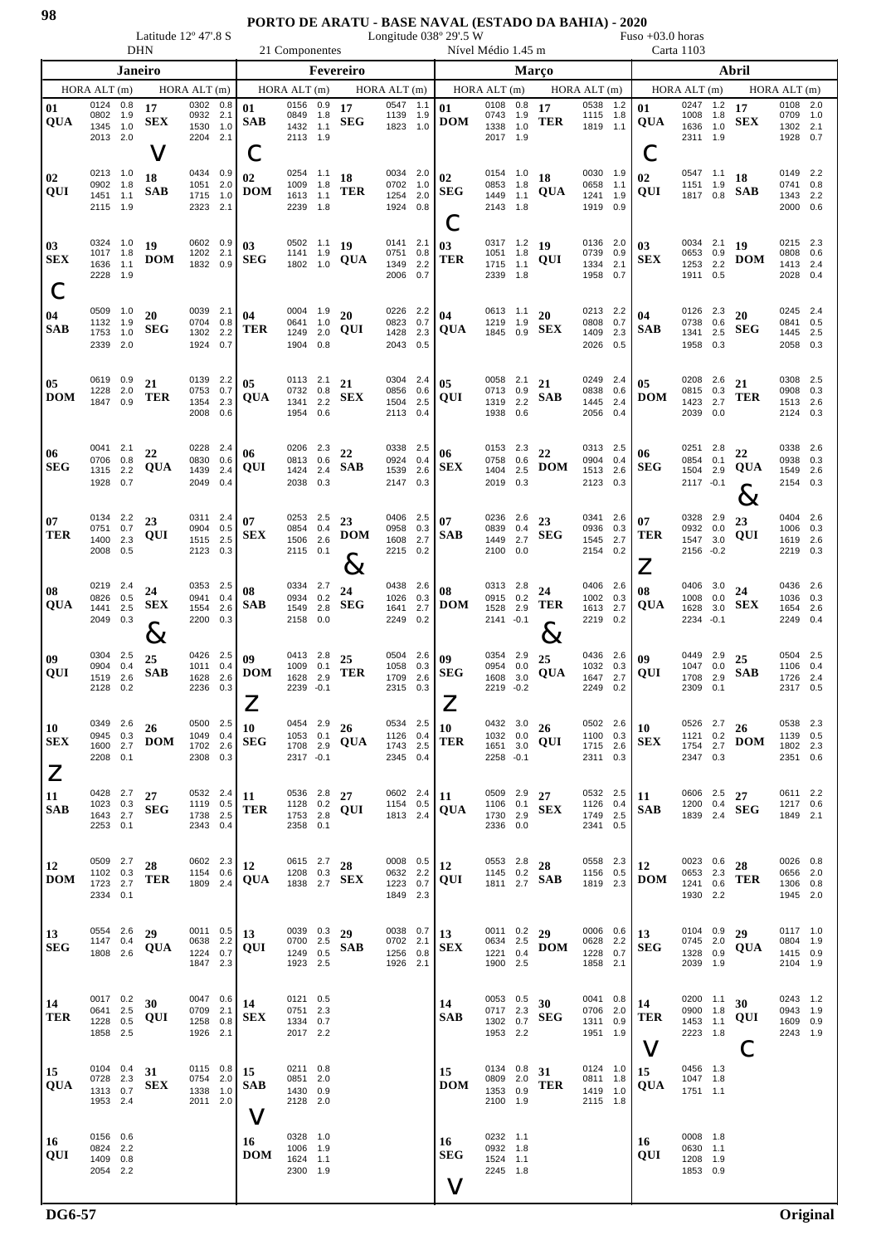## **PORTO DE ARATU - BASE NAVAL (ESTADO DA BAHIA) - 2020**

Latitude 12° 47'.8 S Longitude 038° 29'.5 W Fuso +03.0 horas

|                                        |                                              | <b>DHN</b>               |                           |                                              |                           | 21 Componentes             |                                                    |                          |                           |                                              |                          | Nível Médio 1.45 m |                                                 |                             |                               |                                                     |                            | Carta 1103            |                                                   |                          |                                          |                                              |                          |  |  |  |  |  |
|----------------------------------------|----------------------------------------------|--------------------------|---------------------------|----------------------------------------------|---------------------------|----------------------------|----------------------------------------------------|--------------------------|---------------------------|----------------------------------------------|--------------------------|--------------------|-------------------------------------------------|-----------------------------|-------------------------------|-----------------------------------------------------|----------------------------|-----------------------|---------------------------------------------------|--------------------------|------------------------------------------|----------------------------------------------|--------------------------|--|--|--|--|--|
| Janeiro                                |                                              |                          |                           |                                              |                           | Fevereiro                  |                                                    |                          |                           |                                              |                          | <b>Marco</b>       |                                                 |                             |                               |                                                     |                            | Abril                 |                                                   |                          |                                          |                                              |                          |  |  |  |  |  |
|                                        | HORAALT(m)                                   |                          |                           | HORA ALT(m)                                  |                           |                            | HORA ALT (m)                                       |                          |                           | HORA ALT(m)                                  |                          |                    | HORAALT(m)                                      |                             |                               | HORA ALT(m)                                         |                            |                       | HORA ALT (m)                                      |                          |                                          | HORA ALT (m)                                 |                          |  |  |  |  |  |
| 01<br>QUA                              | 0124<br>0802<br>1345<br>2013 2.0             | 0.8<br>1.9<br>1.0        | 17<br><b>SEX</b><br>V     | 0302<br>0932<br>1530<br>2204                 | 0.8<br>2.1<br>1.0<br>2.1  | 01<br><b>SAB</b><br>Ĉ      | 0156<br>0849<br>1432<br>2113 1.9                   | 0.9<br>1.8<br>1.1        | 17<br><b>SEG</b>          | 0547<br>1139<br>1823                         | 1.1<br>1.9<br>1.0        | 01<br><b>DOM</b>   | 0108<br>0743<br>1338<br>2017 1.9                | 0.8<br>1.9<br>1.0           | 17<br>TER                     | 0538<br>1115<br>1819                                | 1.2<br>1.8<br>1.1          | 01<br><b>QUA</b><br>Ć | 0247<br>1008<br>1636<br>2311 1.9                  | 1.2<br>1.8<br>1.0        | 17<br><b>SEX</b>                         | 0108<br>0709<br>1302<br>1928                 | 2.0<br>1.0<br>2.1<br>0.7 |  |  |  |  |  |
| 02<br>QUI                              | 0213<br>0902<br>1451<br>2115                 | 1.0<br>1.8<br>1.1<br>1.9 | 18<br>SAB                 | 0434<br>1051<br>1715<br>2323                 | 0.9<br>2.0<br>1.0<br>2.1  | 02<br><b>DOM</b>           | 0254<br>1009<br>1613<br>2239                       | 1.1<br>1.8<br>1.1<br>1.8 | 18<br>TER                 | 0034<br>0702<br>1254<br>1924                 | 2.0<br>1.0<br>2.0<br>0.8 | 02<br><b>SEG</b>   | 0154 1.0<br>0853<br>1449<br>2143                | 1.8<br>1.1<br>1.8           | 18<br><b>QUA</b>              | 0030<br>0658<br>1241<br>1919                        | 1.9<br>1.1<br>1.9<br>0.9   | 02<br>QUI             | 0547 1.1<br>1151<br>1817 0.8                      | 1.9                      | 18<br><b>SAB</b>                         | 0149 2.2<br>0741<br>1343 2.2<br>2000         | 0.8<br>0.6               |  |  |  |  |  |
| $\bm{03}$<br><b>SEX</b>                | 0324<br>1017 1.8<br>1636<br>2228             | 1.0<br>1.1<br>1.9        | 19<br><b>DOM</b>          | 0602 0.9<br>1202 2.1<br>1832                 | 0.9                       | 03<br><b>SEG</b>           | 0502 1.1<br>1141 1.9<br>1802                       | 1.0                      | 19<br><b>QUA</b>          | 0141 2.1<br>0751 0.8<br>1349<br>2006         | 2.2<br>0.7               | 03<br>TER          | 0317 1.2<br>1051 1.8<br>1715<br>2339            | 1.1<br>1.8                  | 19<br>QUI                     | 0136 2.0<br>0739<br>1334<br>1958                    | 0.9<br>2.1<br>0.7          | 03<br><b>SEX</b>      | 0034 2.1<br>0653 0.9<br>1253<br>1911 0.5          | 2.2                      | 19<br><b>DOM</b>                         | 0215 2.3<br>0808 0.6<br>1413 2.4<br>2028     | 0.4                      |  |  |  |  |  |
| 04<br><b>SAB</b>                       | 0509<br>1132<br>1753<br>2339                 | 1.0<br>1.9<br>1.0<br>2.0 | 20<br><b>SEG</b>          | 0039<br>0704<br>1302<br>1924                 | 2.1<br>0.8<br>2.2<br>0.7  | 04<br>TER                  | 0004<br>0641<br>1249<br>1904                       | 1.9<br>1.0<br>2.0<br>0.8 | 20<br>QUI                 | 0226<br>0823<br>1428<br>2043                 | 2.2<br>0.7<br>2.3<br>0.5 | 04<br>QUA          | 0613 1.1<br>1219<br>1845 0.9                    | 1.9                         | 20<br><b>SEX</b>              | 0213<br>0808<br>1409<br>2026                        | 2.2<br>0.7<br>2.3<br>0.5   | 04<br><b>SAB</b>      | 0126 2.3<br>0738<br>1341<br>1958                  | 0.6<br>2.5<br>0.3        | 20<br><b>SEG</b>                         | 0245 2.4<br>0841<br>1445<br>2058             | 0.5<br>- 2.5<br>0.3      |  |  |  |  |  |
| 05<br><b>DOM</b>                       | 0619<br>1228<br>1847                         | 0.9<br>2.0<br>0.9        | 21<br><b>TER</b>          | 0139<br>0753<br>1354<br>2008                 | 2.2<br>0.7<br>2.3<br>0.6  | 05<br><b>QUA</b>           | 0113 2.1<br>0732<br>1341<br>1954                   | 0.8<br>2.2<br>0.6        | 21<br><b>SEX</b>          | 0304 2.4<br>0856<br>1504<br>2113 0.4         | 0.6<br>2.5               | 05<br>QUI          | 0058<br>0713<br>1319<br>1938                    | 2.1<br>0.9<br>2.2<br>0.6    | 21<br><b>SAB</b>              | 0249<br>0838<br>1445<br>2056                        | - 2.4<br>0.6<br>2.4<br>0.4 | 05<br><b>DOM</b>      | 0208<br>0815<br>1423<br>2039 0.0                  | 2.6<br>0.3<br>2.7        | 21<br>TER                                | 0308 2.5<br>0908<br>1513<br>2124 0.3         | 0.3<br>2.6               |  |  |  |  |  |
| 06<br><b>SEG</b>                       | 0041 2.1<br>0706<br>1315<br>1928             | 0.8<br>2.2<br>0.7        | 22<br><b>QUA</b>          | 0228<br>0830<br>1439<br>2049                 | -2.4<br>0.6<br>2.4<br>0.4 | 06<br>QUI                  | 0206<br>0813<br>1424<br>2038                       | 2.3<br>0.6<br>2.4<br>0.3 | 22<br>SAB                 | 0338<br>0924<br>1539<br>2147 0.3             | - 2.5<br>0.4<br>2.6      | 06<br><b>SEX</b>   | 0153 2.3<br>0758<br>1404<br>2019                | 0.6<br>2.5<br>0.3           | 22<br><b>DOM</b>              | 0313<br>0904<br>1513<br>2123                        | - 2.5<br>0.4<br>2.6<br>0.3 | 06<br><b>SEG</b>      | 0251<br>0854<br>1504<br>2117 -0.1                 | 2.8<br>0.1<br>2.9        | 22<br>QUA<br>0<br>$\boldsymbol{\propto}$ | 0338 2.6<br>0938<br>1549<br>2154 0.3         | 0.3<br>2.6               |  |  |  |  |  |
| 07<br>TER                              | 0134<br>0751<br>1400<br>2008                 | 2.2<br>0.7<br>2.3<br>0.5 | 23<br>QUI                 | 0311 2.4<br>0904 0.5<br>1515<br>2123         | 2.5<br>0.3                | 07<br><b>SEX</b>           | 0253<br>0854<br>1506<br>2115 0.1                   | 2.5<br>0.4<br>2.6        | 23<br><b>DOM</b><br>$8\,$ | 0406 2.5<br>0958 0.3<br>1608<br>2215         | 2.7<br>0.2               | 07<br><b>SAB</b>   | 0236 2.6<br>0839<br>1449<br>2100                | 0.4<br>2.7<br>0.0           | 23<br><b>SEG</b>              | 0341<br>0936<br>1545<br>2154                        | - 2.6<br>0.3<br>2.7<br>0.2 | 07<br>TER<br>$\angle$ | 0328 2.9<br>0932 0.0<br>1547<br>2156 -0.2         | 3.0                      | 23<br>QUI                                | 0404 2.6<br>1006 0.3<br>1619<br>2219         | 2.6<br>0.3               |  |  |  |  |  |
| 08<br>QUA                              | 0219<br>0826<br>1441<br>2049                 | 2.4<br>0.5<br>2.5<br>0.3 | 24<br><b>SEX</b><br>$8\,$ | 0353<br>0941<br>1554<br>2200                 | 2.5<br>0.4<br>2.6<br>0.3  | 08<br><b>SAB</b>           | 0334<br>0934<br>1549<br>2158                       | 2.7<br>0.2<br>2.8<br>0.0 | 24<br><b>SEG</b>          | 0438<br>1026<br>1641<br>2249                 | 2.6<br>0.3<br>2.7<br>0.2 | 08<br>DOM          | 0313 2.8<br>0915 0.2<br>1528<br>2141 - 0.1      | 2.9                         | 24<br>TER<br>$8\,$            | 0406<br>1002<br>1613 2.7<br>2219                    | - 2.6<br>0.3<br>0.2        | 08<br>QUA             | 0406<br>1008<br>1628<br>2234 - 0.1                | 3.0<br>0.0<br>3.0        | 24<br><b>SEX</b>                         | 0436 2.6<br>1036<br>1654 2.6<br>2249         | 0.3<br>0.4               |  |  |  |  |  |
| 09<br>QUI                              | 0304<br>0904<br>1519<br>2128                 | 2.5<br>0.4<br>2.6<br>0.2 | 25<br><b>SAB</b>          | 0426<br>1011<br>1628<br>2236                 | 2.5<br>0.4<br>2.6<br>0.3  | 09<br><b>DOM</b>           | 0413<br>1009<br>1628<br>2239 -0.1                  | 2.8<br>0.1<br>2.9        | 25<br>TER                 | 0504<br>1058<br>1709<br>2315 0.3             | 2.6<br>0.3<br>2.6        | 09<br><b>SEG</b>   | 0354<br>0954<br>1608<br>2219                    | 2.9<br>0.0<br>3.0<br>$-0.2$ | 25<br>QUA                     | 0436<br>1032<br>1647<br>2249                        | 2.6<br>0.3<br>2.7<br>0.2   | 09<br>QUI             | 0449<br>1047<br>1708<br>2309                      | 2.9<br>0.0<br>2.9<br>0.1 | 25<br>SAB                                | 0504 2.5<br>1106<br>1726<br>2317 0.5         | 0.4<br>2.4               |  |  |  |  |  |
| 10<br><b>SEX</b><br>$\mathsf{Z}% _{0}$ | 0349 2.6<br>0945 0.3<br>1600 2.7<br>2208 0.1 |                          | 26<br><b>DOM</b>          | 0500 2.5<br>1049 0.4<br>1702 2.6<br>2308     | 0.3                       | 10<br><b>SEG</b>           | 0454 2.9 $26$<br>1053 0.1<br>1708 2.9<br>2317 -0.1 |                          | <b>QUA</b>                | 0534 2.5<br>1126 0.4<br>1743 2.5<br>2345 0.4 |                          | 10<br>TER          | 0432 3.0<br>1032 0.0<br>1651 3.0<br>2258 -0.1   |                             | 26<br>QUI                     | 0502 2.6<br>1100 0.3<br>1715 2.6<br>2311 0.3        |                            | 10<br>SEX             | 0526 2.7 $26$<br>1121 0.2<br>2347 0.3             |                          | 1754 2.7 <b>DOM</b>                      | 0538 2.3<br>1139 0.5<br>1802 2.3<br>2351 0.6 |                          |  |  |  |  |  |
| <b>11</b><br><b>SAB</b>                | 0428 2.7<br>1023 0.3<br>1643 2.7<br>2253 0.1 |                          | 27<br><b>SEG</b>          | 0532 2.4<br>1119 0.5<br>1738 2.5<br>2343 0.4 |                           | 11<br>TER                  | 0536 2.8<br>1128 0.2<br>1753 2.8<br>2358 0.1       |                          | 27<br>QUI                 | 0602 2.4<br>1154 0.5<br>1813 2.4             |                          | 11<br><b>QUA</b>   | 0509 2.9<br>1106 0.1<br>1730 2.9<br>2336 0.0    |                             | 27<br><b>SEX</b>              | 0532 2.5<br>1126 0.4<br>1749 2.5<br>2341 0.5        |                            | 11<br><b>SAB</b>      | 0606 2.5 27<br>1200 0.4<br>1839 2.4               |                          | <b>SEG</b>                               | 0611 2.2<br>1217 0.6<br>1849 2.1             |                          |  |  |  |  |  |
| <b>12</b><br><b>DOM</b>                | 0509 2.7<br>1102 0.3<br>1723 2.7<br>2334 0.1 |                          | 28<br>TER                 | 0602 2.3<br>1154 0.6<br>1809 2.4             |                           | 12<br><b>QUA</b>           | 0615 2.7 28<br>1208 0.3                            |                          | 1838 2.7 <b>SEX</b>       | 0008 0.5<br>0632 2.2<br>1223 0.7<br>1849 2.3 |                          | 12<br>QUI          | 0553 2.8<br>1145 0.2                            |                             | 28<br>1811 $^{0.2}_{2.7}$ SAB | 0558 2.3<br>1156 0.5<br>1819 2.3                    |                            | 12<br><b>DOM</b>      | 0023 0.6 28<br>0653 2.3<br>1241 0.6<br>1930 2.2   |                          | TER                                      | 0026 0.8<br>0656 2.0<br>1306 0.8<br>1945 2.0 |                          |  |  |  |  |  |
| <b>13</b><br><b>SEG</b>                | 0554 2.6<br>1147 0.4<br>1808 2.6             |                          | 29<br><b>QUA</b>          | $0011$ 0.5<br>0638<br>1224 0.7<br>1847 2.3   | 2.2                       | 13<br>QUI                  | 0039 0.3 29<br>0700 2.5<br>1923 2.5                |                          | $1249$ 0.5 <b>SAB</b>     | 0038 0.7<br>0702 2.1<br>1256 0.8<br>1926 2.1 |                          | 13<br><b>SEX</b>   | 0011 0.2 29<br>0634 2.5<br>1221 0.4<br>1900 2.5 |                             | <b>DOM</b>                    | 0006 $0.6$   13<br>0628 2.2<br>1228 0.7<br>1858 2.1 |                            | <b>SEG</b>            | $0104$ 0.9 29<br>0745 2.0<br>1328 0.9<br>2039 1.9 |                          | QUA                                      | 0117 1.0<br>0804 1.9<br>1415 0.9<br>2104 1.9 |                          |  |  |  |  |  |
| <b>14</b><br><b>TER</b>                | 0017 0.2<br>0641 2.5<br>1228 0.5<br>1858 2.5 |                          | 30<br>QUI                 | 0047 0.6<br>0709 2.1<br>1258 0.8<br>1926 2.1 |                           | 14<br><b>SEX</b>           | 0121 0.5<br>0751 2.3<br>1334 0.7<br>2017 2.2       |                          |                           |                                              |                          | 14<br><b>SAB</b>   | 0053 0.5<br>0717 2.3<br>1302 0.7<br>1953 2.2    |                             | 30<br><b>SEG</b>              | $0041$ 0.8<br>0706 2.0<br>1311 0.9<br>1951 1.9      |                            | 14<br>TER<br>V        | 0200 1.1<br>0900 1.8<br>1453 1.1<br>2223 1.8      |                          | 30<br>QUI                                | 0243 1.2<br>0943 1.9<br>1609 0.9<br>2243 1.9 |                          |  |  |  |  |  |
| 15<br><b>QUA</b>                       | 0104 0.4<br>0728 2.3<br>1313 0.7<br>1953 2.4 |                          | 31<br><b>SEX</b>          | 0115 0.8<br>0754 2.0<br>1338<br>2011 2.0     | 1.0                       | 15<br><b>SAB</b><br>$\vee$ | 0211 0.8<br>0851 2.0<br>1430 0.9<br>2128 2.0       |                          |                           |                                              |                          | 15<br><b>DOM</b>   | 0134 0.8<br>0809 2.0<br>1353 0.9<br>2100 1.9    |                             | 31<br>TER                     | 0124 1.0<br>0811 1.8<br>1419 1.0<br>2115 1.8        |                            | 15<br><b>QUA</b>      | 0456 1.3<br>1047 1.8<br>1751 1.1                  |                          |                                          |                                              |                          |  |  |  |  |  |
| <b>16</b><br><b>QUI</b>                | 0156 0.6<br>0824 2.2<br>1409 0.8<br>2054 2.2 |                          |                           |                                              |                           | 16<br><b>DOM</b>           | 0328 1.0<br>1006 1.9<br>1624 1.1<br>2300 1.9       |                          |                           |                                              |                          | 16<br><b>SEG</b>   | 0232 1.1<br>0932<br>1524 1.1<br>2245 1.8        | 1.8                         |                               |                                                     |                            | 16<br>QUI             | 0008 1.8<br>0630 1.1<br>1208 1.9<br>1853 0.9      |                          |                                          |                                              |                          |  |  |  |  |  |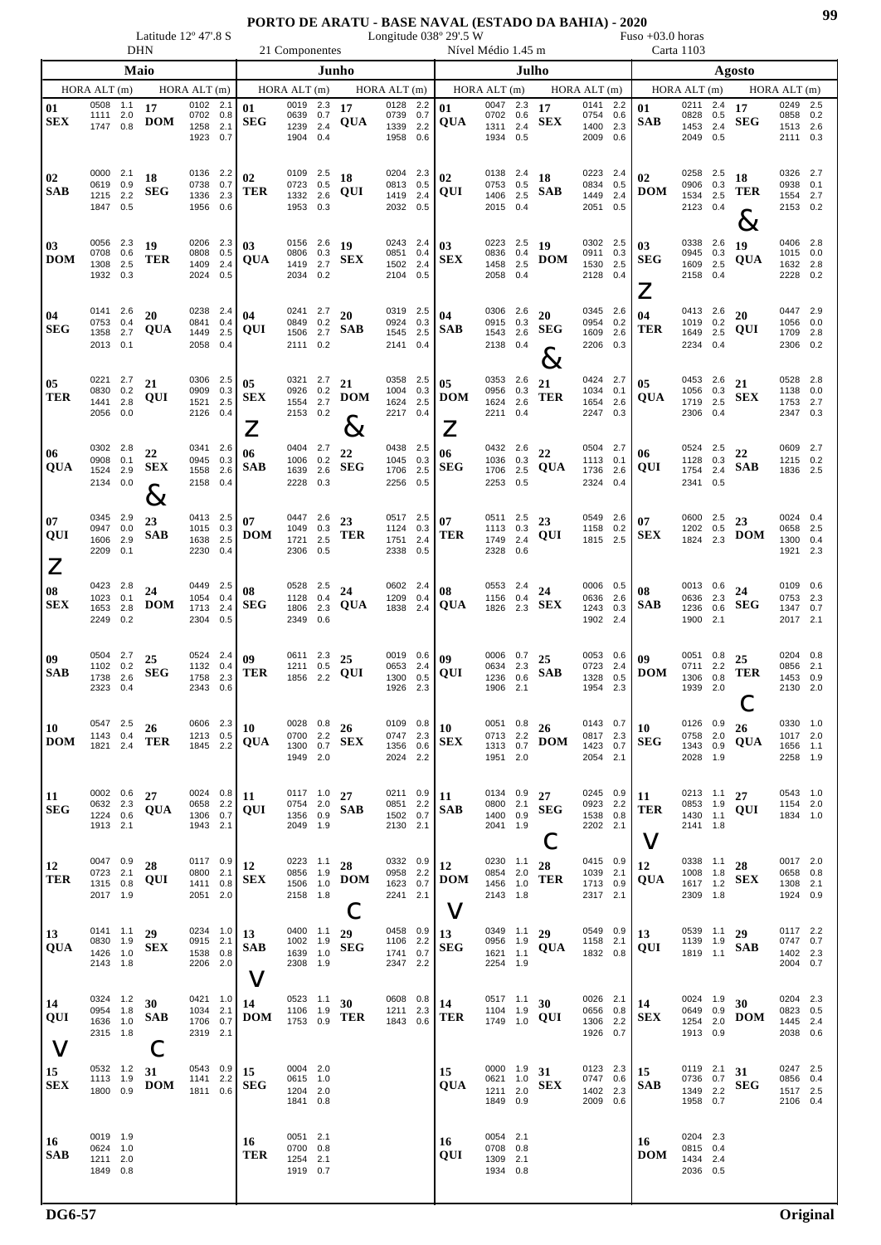Latitude 12° 47'.8 S Longitude 038° 29'.5 W Fuso +03.0 horas DHN 21 Componentes Nível Médio 1.45 m Carta 1103

| PHI.                        |                                              |     |                           |                                              |            |                                      | 21 Componentes                                  |     |                          |                                                 |                                                                                                                                   |                                                              |       |                                    |                                              |                                      |                                              |                  |                                              |  |
|-----------------------------|----------------------------------------------|-----|---------------------------|----------------------------------------------|------------|--------------------------------------|-------------------------------------------------|-----|--------------------------|-------------------------------------------------|-----------------------------------------------------------------------------------------------------------------------------------|--------------------------------------------------------------|-------|------------------------------------|----------------------------------------------|--------------------------------------|----------------------------------------------|------------------|----------------------------------------------|--|
| Maio                        |                                              |     |                           |                                              |            |                                      |                                                 |     | Junho                    |                                                 |                                                                                                                                   |                                                              | Julho |                                    |                                              |                                      |                                              | Agosto           |                                              |  |
|                             | HORA ALT (m)                                 |     |                           | HORA ALT (m)                                 |            |                                      | HORA ALT (m)                                    |     |                          | $HORA$ $ALT$ $(m)$                              |                                                                                                                                   | HORA ALT (m)                                                 |       |                                    | HORAALT(m)                                   |                                      | HORA ALT (m)                                 |                  | HORA ALT (m)                                 |  |
| 01<br><b>SEX</b>            | 0508 1.1<br>1111 2.0<br>1747 0.8             |     | 17<br><b>DOM</b>          | 0102<br>0702 0.8<br>1258 2.1<br>1923 0.7     | 2.1        | 01<br>SEG                            | 0019 2.3<br>0639 0.7<br>1239 2.4<br>1904 0.4    |     | 17<br><b>QUA</b>         | 0128 2.2<br>0739 0.7<br>1339 2.2<br>1958 0.6    | 01<br><b>QUA</b>                                                                                                                  | $\overline{0047}$ 2.3 17<br>0702 0.6<br>1311 2.4<br>1934 0.5 |       | ${\bf SEX}$                        | 0141 2.2<br>0754 0.6<br>1400 2.3<br>2009 0.6 | 01<br><b>SAB</b>                     | 0211 2.4<br>0828 0.5<br>1453 2.4<br>2049 0.5 | 17<br><b>SEG</b> | 0249 2.5<br>0858 0.2<br>1513 2.6<br>2111 0.3 |  |
| 02<br><b>SAB</b>            | 0000 2.1<br>0619 0.9<br>1215 2.2<br>1847 0.5 |     | 18<br><b>SEG</b>          | 0136 2.2<br>0738 0.7<br>1336 2.3<br>1956 0.6 |            | 02<br><b>TER</b>                     | 0109 2.5<br>0723 0.5<br>1332 2.6<br>1953 0.3    |     | 18<br>QUI                | 0204 2.3<br>0813 0.5<br>1419 2.4<br>2032 0.5    | 02<br>QUI                                                                                                                         | 0138 2.4<br>0753 0.5<br>1406 2.5<br>2015 0.4                 |       | 18<br><b>SAB</b>                   | 0223 2.4<br>0834 0.5<br>1449 2.4<br>2051 0.5 | 02<br><b>DOM</b>                     | 0258 2.5<br>0906 0.3<br>1534 2.5<br>2123 0.4 | 18<br>TER<br>ど   | 0326 2.7<br>0938 0.1<br>1554 2.7<br>2153 0.2 |  |
| 03<br><b>DOM</b>            | 0056 2.3<br>0708 0.6<br>1308 2.5<br>1932 0.3 |     | 19<br><b>TER</b>          | 0206 2.3<br>0808 0.5<br>1409 2.4<br>2024 0.5 |            | 03<br><b>QUA</b>                     | 0156 2.6<br>0806 0.3<br>1419 2.7<br>2034 0.2    |     | <b>19</b><br>${\bf SEX}$ | 0243 2.4<br>0851 0.4<br>1502 2.4<br>2104 0.5    | 03<br><b>SEX</b>                                                                                                                  | 0223 2.5 19<br>0836 0.4<br>1458 2.5<br>2058 0.4              |       | <b>DOM</b>                         | 0302 2.5<br>0911 0.3<br>1530 2.5<br>2128 0.4 | 03<br><b>SEG</b><br>$\boldsymbol{Z}$ | 0338 2.6<br>0945 0.3<br>1609 2.5<br>2158 0.4 | 19<br><b>QUA</b> | 0406 2.8<br>1015 0.0<br>1632 2.8<br>2228 0.2 |  |
| 04<br><b>SEG</b>            | 0141 2.6<br>0753 0.4<br>1358 2.7<br>2013 0.1 |     | 20<br>QUA                 | 0238 2.4<br>0841 0.4<br>1449<br>2058         | 2.5<br>0.4 | 04<br>QUI                            | 0241 2.7<br>0849 0.2<br>1506 2.7<br>2111 0.2    |     | 20<br><b>SAB</b>         | 0319 2.5<br>0924 0.3<br>1545 2.5<br>2141 0.4    | 04<br><b>SAB</b>                                                                                                                  | 0306 2.6<br>0915 0.3<br>1543 2.6<br>2138 0.4                 |       | 20<br>SEG<br>$8\!\!\!\!\!\times$   | 0345 2.6<br>0954 0.2<br>1609 2.6<br>2206 0.3 | 04<br><b>TER</b>                     | 0413 2.6<br>1019 0.2<br>1649 2.5<br>2234 0.4 | 20<br>QUI        | 0447 2.9<br>1056 0.0<br>1709 2.8<br>2306 0.2 |  |
| 05<br>TER                   | 0221<br>0830 0.2<br>1441 2.8<br>2056 0.0     | 2.7 | 21<br>QUI                 | 0306 2.5<br>0909 0.3<br>1521 2.5<br>2126 0.4 |            | 05<br><b>SEX</b><br>$\boldsymbol{Z}$ | 0321 2.7 21<br>0926 0.2<br>1554 2.7<br>2153 0.2 |     | <b>DOM</b><br>$8\,$      | 0358 2.5<br>1004 0.3<br>1624 2.5<br>2217 0.4    | 05<br><b>DOM</b><br>$\mathsf{Z}% _{M_{1},M_{2}}^{\alpha,\beta}(\varepsilon)=\mathsf{Z}_{M_{1},M_{2}}^{\alpha,\beta}(\varepsilon)$ | 0353 2.6<br>0956 0.3<br>1624 2.6<br>2211 0.4                 |       | 21<br><b>TER</b>                   | 0424 2.7<br>1034 0.1<br>1654 2.6<br>2247 0.3 | 05<br><b>QUA</b>                     | 0453 2.6<br>1056 0.3<br>1719 2.5<br>2306 0.4 | 21<br><b>SEX</b> | 0528 2.8<br>1138 0.0<br>1753 2.7<br>2347 0.3 |  |
| 06<br><b>QUA</b>            | 0302 2.8<br>0908 0.1<br>1524 2.9<br>2134 0.0 |     | 22<br><b>SEX</b><br>$8\,$ | 0341 2.6<br>0945<br>1558 2.6<br>2158 0.4     | 0.3        | 06<br><b>SAB</b>                     | 0404 2.7<br>1006 0.2<br>1639 2.6<br>2228 0.3    |     | 22<br><b>SEG</b>         | 0438 2.5<br>1045 0.3<br>1706 2.5<br>2256 0.5    | 06<br><b>SEG</b>                                                                                                                  | 0432 2.6<br>1036 0.3<br>1706 2.5<br>2253 0.5                 |       | 22<br><b>QUA</b>                   | 0504 2.7<br>1113 0.1<br>1736 2.6<br>2324 0.4 | 06<br>QUI                            | 0524 2.5<br>1128 0.3<br>1754 2.4<br>2341 0.5 | 22<br><b>SAB</b> | 0609 2.7<br>1215 0.2<br>1836 2.5             |  |
| 07<br>QUI<br>$\overline{Z}$ | 0345 2.9<br>0947 0.0<br>1606 2.9<br>2209 0.1 |     | 23<br><b>SAB</b>          | 0413 2.5<br>1015 0.3<br>1638 2.5<br>2230 0.4 |            | 07<br><b>DOM</b>                     | 0447 2.6<br>1049 0.3<br>1721 2.5<br>2306 0.5    |     | 23<br><b>TER</b>         | 0517 2.5 07<br>1124 0.3<br>1751 2.4<br>2338 0.5 | <b>TER</b>                                                                                                                        | $0511$ 2.5 23<br>1113 0.3<br>1749 2.4<br>2328 0.6            |       | QUI                                | 0549 2.6<br>1158 0.2<br>1815 2.5             | 07<br><b>SEX</b>                     | 0600 2.5<br>1202 0.5<br>1824 2.3             | 23<br><b>DOM</b> | 0024 0.4<br>0658 2.5<br>1300 0.4<br>1921 2.3 |  |
| 08<br><b>SEX</b>            | 0423 2.8<br>1023 0.1<br>1653 2.8<br>2249 0.2 |     | 24<br><b>DOM</b>          | 0449 2.5<br>1054 0.4<br>1713 2.4<br>2304 0.5 |            | 08<br><b>SEG</b>                     | 0528 2.5<br>1128 0.4<br>1806<br>2349 0.6        | 2.3 | 24<br><b>QUA</b>         | 0602 2.4<br>1209 0.4<br>1838 2.4                | 08<br><b>QUA</b>                                                                                                                  | 0553 2.4<br>1156 0.4<br>1826 2.3                             |       | 24<br><b>SEX</b>                   | 0006 0.5<br>0636 2.6<br>1243 0.3<br>1902 2.4 | 08<br><b>SAB</b>                     | 0013 0.6<br>0636 2.3<br>1236 0.6<br>1900 2.1 | 24<br><b>SEG</b> | 0109 0.6<br>0753 2.3<br>1347 0.7<br>2017 2.1 |  |
| 09<br><b>SAB</b>            | 0504 2.7<br>1102 0.2<br>1738 2.6<br>2323 0.4 |     | 25<br><b>SEG</b>          | 0524 2.4<br>1132 0.4<br>1758 2.3<br>2343 0.6 |            | 09<br><b>TER</b>                     | 0611 2.3 25<br>1211 0.5<br>1856 2.2             |     | QUI                      | 0019 0.6<br>0653 2.4<br>1300 0.5<br>1926 2.3    | 09 <sup>°</sup><br>QUI                                                                                                            | 0006 $0.7$ 25<br>0634 2.3<br>1236<br>1906 2.1                | 0.6   | $\mathbf{S} \mathbf{A} \mathbf{B}$ | 0053 0.6<br>0723 2.4<br>1328 0.5<br>1954 2.3 | 09<br><b>DOM</b>                     | 0051 0.8<br>0711 2.2<br>1306 0.8<br>1939 2.0 | 25<br><b>TER</b> | 0204 0.8<br>0856 2.1<br>1453 0.9<br>2130 2.0 |  |
| 10<br><b>DOM</b>            | 0547 2.5<br>1143 0.4<br>1821 2.4             |     | 26<br><b>TER</b>          | 0606 2.3<br>1213 0.5<br>1845 2.2             |            | 10<br><b>QUA</b>                     | 0028 0.8<br>0700 2.2<br>1300 0.7<br>1949 2.0    |     | 26<br><b>SEX</b>         | 0109 0.8<br>0747 2.3<br>1356 0.6<br>2024 2.2    | 10<br><b>SEX</b>                                                                                                                  | 0051 0.8<br>0713 2.2<br>1313 0.7<br>1951 2.0                 |       | 26<br><b>DOM</b>                   | 0143 0.7<br>0817 2.3<br>1423 0.7<br>2054 2.1 | 10<br><b>SEG</b>                     | 0126 0.9<br>0758 2.0<br>1343 0.9<br>2028 1.9 | 26<br><b>QUA</b> | 0330 1.0<br>1017 2.0<br>1656 1.1<br>2258 1.9 |  |
| 11<br><b>SEG</b>            | 0002 0.6<br>0632 2.3<br>1224 0.6<br>1913 2.1 |     | 27<br>QUA                 | 0024 0.8<br>0658 2.2<br>1306 0.7<br>1943 2.1 |            | 11<br>QUI                            | 0117 1.0<br>0754 2.0<br>1356 0.9<br>2049 1.9    |     | 27<br><b>SAB</b>         | 0211 0.9<br>0851 2.2<br>1502 0.7<br>2130 2.1    | 11<br><b>SAB</b>                                                                                                                  | 0134 0.9<br>0800 2.1<br>1400 0.9<br>2041 1.9                 |       | 27<br><b>SEG</b>                   | 0245 0.9<br>0923 2.2<br>1538 0.8<br>2202 2.1 | 11<br>TER<br>V                       | 0213 1.1<br>0853 1.9<br>1430 1.1<br>2141 1.8 | 27<br>QUI        | 0543 1.0<br>1154 2.0<br>1834 1.0             |  |
| 12<br>TER                   | 0047 0.9<br>0723 2.1<br>1315 0.8<br>2017 1.9 |     | 28<br>QUI                 | 0117 0.9<br>0800<br>1411 0.8<br>2051 2.0     | 2.1        | 12<br><b>SEX</b>                     | 0223 1.1<br>0856 1.9<br>1506 1.0<br>2158 1.8    |     | 28<br><b>DOM</b><br>С    | 0332 0.9<br>0958 2.2<br>1623 0.7<br>2241 2.1    | 12<br><b>DOM</b><br>$\vee$                                                                                                        | 0230 1.1<br>0854 2.0<br>1456 1.0<br>2143 1.8                 |       | 28<br><b>TER</b>                   | 0415 0.9<br>1039 2.1<br>1713 0.9<br>2317 2.1 | 12<br>QUA                            | 0338 1.1<br>1008 1.8<br>1617 1.2<br>2309 1.8 | 28<br><b>SEX</b> | 0017 2.0<br>0658 0.8<br>1308 2.1<br>1924 0.9 |  |
| 13<br>QUA                   | 0141 1.1<br>0830 1.9<br>1426 1.0<br>2143 1.8 |     | 29<br><b>SEX</b>          | 0234 1.0<br>0915 2.1<br>1538 0.8<br>2206 2.0 |            | 13<br><b>SAB</b><br>V                | 0400 1.1<br>1002 1.9<br>1639 1.0<br>2308 1.9    |     | 29<br><b>SEG</b>         | 0458 0.9<br>1106 2.2<br>1741 0.7<br>2347 2.2    | 13<br><b>SEG</b>                                                                                                                  | 0349 1.1<br>0956 1.9<br>1621 1.1<br>2254 1.9                 |       | 29<br>QUA                          | 0549 0.9<br>1158 2.1<br>1832 0.8             | 13<br>QUI                            | 0539 1.1<br>1139 1.9<br>1819 1.1             | 29<br><b>SAB</b> | 0117 2.2<br>0747 0.7<br>1402 2.3<br>2004 0.7 |  |
| 14<br>QUI<br>$\vee$         | 0324 1.2<br>0954 1.8<br>1636 1.0<br>2315 1.8 |     | 30<br><b>SAB</b>          | 0421 1.0<br>1034 2.1<br>1706 0.7<br>2319 2.1 |            | 14<br><b>DOM</b>                     | 0523 1.1<br>1106 1.9<br>1753 0.9                |     | 30<br><b>TER</b>         | 0608 0.8<br>1211 2.3<br>1843 0.6                | 14<br><b>TER</b>                                                                                                                  | 0517 1.1<br>1104 1.9<br>1749 1.0                             |       | 30<br>QUI                          | 0026 2.1<br>0656 0.8<br>1306 2.2<br>1926 0.7 | 14<br><b>SEX</b>                     | 0024 1.9<br>0649 0.9<br>1254 2.0<br>1913 0.9 | 30<br><b>DOM</b> | 0204 2.3<br>0823 0.5<br>1445 2.4<br>2038 0.6 |  |
| 15<br><b>SEX</b>            | 0532 1.2<br>1113 1.9<br>1800 0.9             |     | 31<br><b>DOM</b>          | 0543 0.9<br>1141 2.2<br>1811 0.6             |            | 15<br><b>SEG</b>                     | 0004 2.0<br>0615 1.0<br>1204 2.0<br>1841 0.8    |     |                          |                                                 | 15<br>QUA                                                                                                                         | 0000 1.9<br>0621 1.0<br>1211 2.0<br>1849 0.9                 |       | 31<br><b>SEX</b>                   | 0123 2.3<br>0747 0.6<br>1402 2.3<br>2009 0.6 | 15<br><b>SAB</b>                     | 0119 2.1<br>0736 0.7<br>1349 2.2<br>1958 0.7 | 31<br><b>SEG</b> | 0247 2.5<br>0856 0.4<br>1517 2.5<br>2106 0.4 |  |
| 16<br>SAB                   | 0019 1.9<br>0624 1.0<br>1211 2.0<br>1849 0.8 |     |                           |                                              |            | 16<br>TER                            | 0051 2.1<br>0700 0.8<br>1254 2.1<br>1919 0.7    |     |                          |                                                 | 16<br>QUI                                                                                                                         | 0054 2.1<br>0708<br>1309 2.1<br>1934 0.8                     | 0.8   |                                    |                                              | 16<br><b>DOM</b>                     | 0204 2.3<br>0815 0.4<br>1434 2.4<br>2036 0.5 |                  |                                              |  |
|                             |                                              |     |                           |                                              |            |                                      |                                                 |     |                          |                                                 |                                                                                                                                   |                                                              |       |                                    |                                              |                                      |                                              |                  |                                              |  |